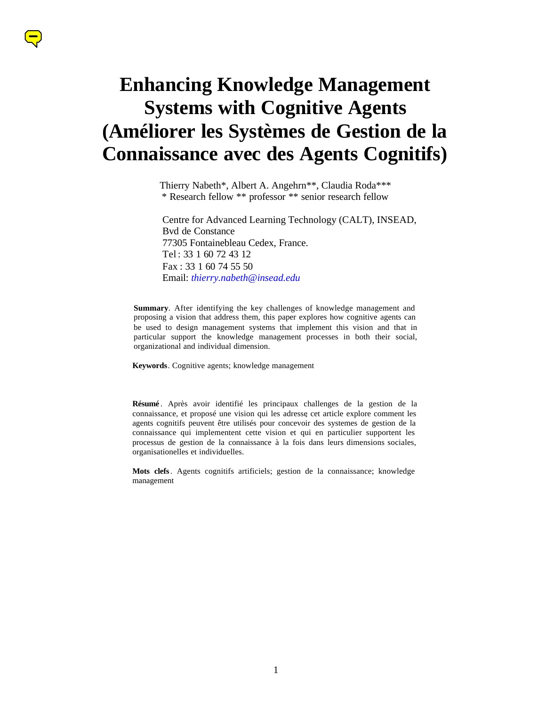# **Enhancing Knowledge Management Systems with Cognitive Agents (Améliorer les Systèmes de Gestion de la Connaissance avec des Agents Cognitifs)**

Thierry Nabeth\*, Albert A. Angehrn\*\*, Claudia Roda\*\*\* \* Research fellow \*\* professor \*\* senior research fellow

Centre for Advanced Learning Technology (CALT), INSEAD, Bvd de Constance 77305 Fontainebleau Cedex, France. Tel : 33 1 60 72 43 12 Fax : 33 1 60 74 55 50 Email: *thierry.nabeth@insead.edu*

**Summary**. After identifying the key challenges of knowledge management and proposing a vision that address them, this paper explores how cognitive agents can be used to design management systems that implement this vision and that in particular support the knowledge management processes in both their social, organizational and individual dimension.

**Keywords**. Cognitive agents; knowledge management

**Résumé** . Après avoir identifié les principaux challenges de la gestion de la connaissance, et proposé une vision qui les adresse, cet article explore comment les agents cognitifs peuvent être utilisés pour concevoir des systemes de gestion de la connaissance qui implementent cette vision et qui en particulier supportent les processus de gestion de la connaissance à la fois dans leurs dimensions sociales, organisationelles et individuelles.

**Mots clefs**. Agents cognitifs artificiels; gestion de la connaissance; knowledge management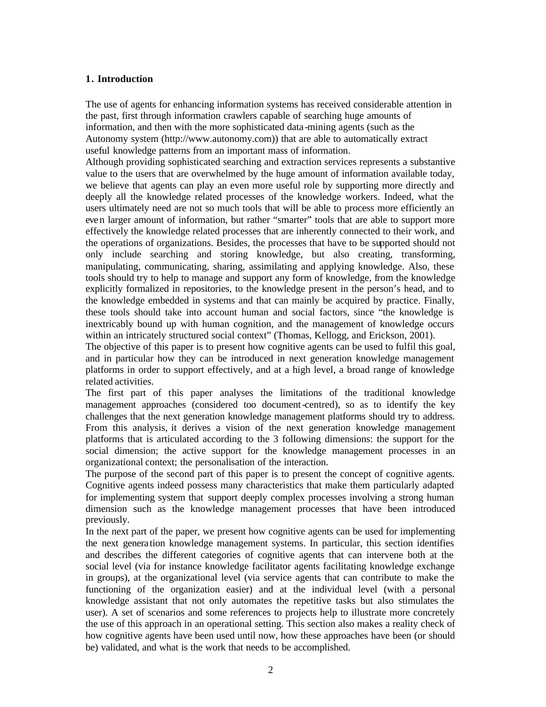# **1. Introduction**

The use of agents for enhancing information systems has received considerable attention in the past, first through information crawlers capable of searching huge amounts of information, and then with the more sophisticated data -mining agents (such as the Autonomy system (http://www.autonomy.com)) that are able to automatically extract useful knowledge patterns from an important mass of information.

Although providing sophisticated searching and extraction services represents a substantive value to the users that are overwhelmed by the huge amount of information available today, we believe that agents can play an even more useful role by supporting more directly and deeply all the knowledge related processes of the knowledge workers. Indeed, what the users ultimately need are not so much tools that will be able to process more efficiently an eve n larger amount of information, but rather "smarter" tools that are able to support more effectively the knowledge related processes that are inherently connected to their work, and the operations of organizations. Besides, the processes that have to be supported should not only include searching and storing knowledge, but also creating, transforming, manipulating, communicating, sharing, assimilating and applying knowledge. Also, these tools should try to help to manage and support any form of knowledge, from the knowledge explicitly formalized in repositories, to the knowledge present in the person's head, and to the knowledge embedded in systems and that can mainly be acquired by practice. Finally, these tools should take into account human and social factors, since "the knowledge is inextricably bound up with human cognition, and the management of knowledge occurs within an intricately structured social context" (Thomas, Kellogg, and Erickson, 2001).

The objective of this paper is to present how cognitive agents can be used to fulfil this goal, and in particular how they can be introduced in next generation knowledge management platforms in order to support effectively, and at a high level, a broad range of knowledge related activities.

The first part of this paper analyses the limitations of the traditional knowledge management approaches (considered too document-centred), so as to identify the key challenges that the next generation knowledge management platforms should try to address. From this analysis, it derives a vision of the next generation knowledge management platforms that is articulated according to the 3 following dimensions: the support for the social dimension; the active support for the knowledge management processes in an organizational context; the personalisation of the interaction.

The purpose of the second part of this paper is to present the concept of cognitive agents. Cognitive agents indeed possess many characteristics that make them particularly adapted for implementing system that support deeply complex processes involving a strong human dimension such as the knowledge management processes that have been introduced previously.

In the next part of the paper, we present how cognitive agents can be used for implementing the next genera tion knowledge management systems. In particular, this section identifies and describes the different categories of cognitive agents that can intervene both at the social level (via for instance knowledge facilitator agents facilitating knowledge exchange in groups), at the organizational level (via service agents that can contribute to make the functioning of the organization easier) and at the individual level (with a personal knowledge assistant that not only automates the repetitive tasks but also stimulates the user). A set of scenarios and some references to projects help to illustrate more concretely the use of this approach in an operational setting. This section also makes a reality check of how cognitive agents have been used until now, how these approaches have been (or should be) validated, and what is the work that needs to be accomplished.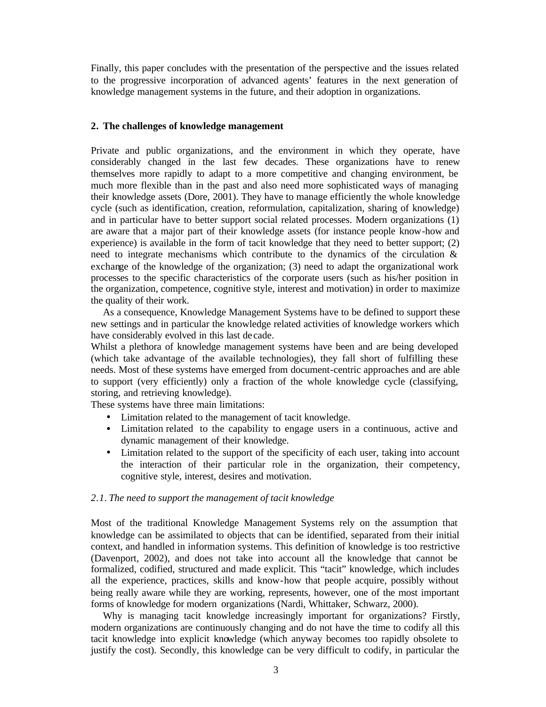Finally, this paper concludes with the presentation of the perspective and the issues related to the progressive incorporation of advanced agents' features in the next generation of knowledge management systems in the future, and their adoption in organizations.

### **2. The challenges of knowledge management**

Private and public organizations, and the environment in which they operate, have considerably changed in the last few decades. These organizations have to renew themselves more rapidly to adapt to a more competitive and changing environment, be much more flexible than in the past and also need more sophisticated ways of managing their knowledge assets (Dore, 2001). They have to manage efficiently the whole knowledge cycle (such as identification, creation, reformulation, capitalization, sharing of knowledge) and in particular have to better support social related processes. Modern organizations (1) are aware that a major part of their knowledge assets (for instance people know-how and experience) is available in the form of tacit knowledge that they need to better support; (2) need to integrate mechanisms which contribute to the dynamics of the circulation & exchange of the knowledge of the organization; (3) need to adapt the organizational work processes to the specific characteristics of the corporate users (such as his/her position in the organization, competence, cognitive style, interest and motivation) in order to maximize the quality of their work.

As a consequence, Knowledge Management Systems have to be defined to support these new settings and in particular the knowledge related activities of knowledge workers which have considerably evolved in this last de cade.

Whilst a plethora of knowledge management systems have been and are being developed (which take advantage of the available technologies), they fall short of fulfilling these needs. Most of these systems have emerged from document-centric approaches and are able to support (very efficiently) only a fraction of the whole knowledge cycle (classifying, storing, and retrieving knowledge).

These systems have three main limitations:

- Limitation related to the management of tacit knowledge.
- Limitation related to the capability to engage users in a continuous, active and dynamic management of their knowledge.
- Limitation related to the support of the specificity of each user, taking into account the interaction of their particular role in the organization, their competency, cognitive style, interest, desires and motivation.

### *2.1. The need to support the management of tacit knowledge*

Most of the traditional Knowledge Management Systems rely on the assumption that knowledge can be assimilated to objects that can be identified, separated from their initial context, and handled in information systems. This definition of knowledge is too restrictive (Davenport, 2002), and does not take into account all the knowledge that cannot be formalized, codified, structured and made explicit. This "tacit" knowledge, which includes all the experience, practices, skills and know-how that people acquire, possibly without being really aware while they are working, represents, however, one of the most important forms of knowledge for modern organizations (Nardi, Whittaker, Schwarz, 2000).

Why is managing tacit knowledge increasingly important for organizations? Firstly, modern organizations are continuously changing and do not have the time to codify all this tacit knowledge into explicit knowledge (which anyway becomes too rapidly obsolete to justify the cost). Secondly, this knowledge can be very difficult to codify, in particular the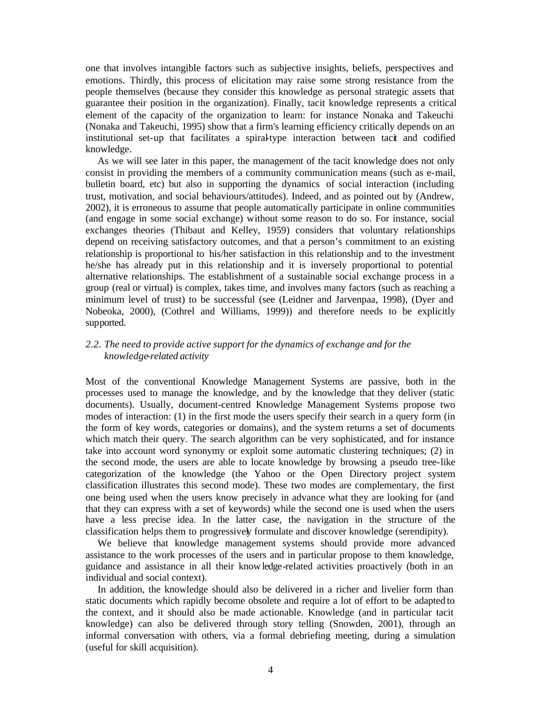one that involves intangible factors such as subjective insights, beliefs, perspectives and emotions. Thirdly, this process of elicitation may raise some strong resistance from the people themselves (because they consider this knowledge as personal strategic assets that guarantee their position in the organization). Finally, tacit knowledge represents a critical element of the capacity of the organization to learn: for instance Nonaka and Takeuchi (Nonaka and Takeuchi, 1995) show that a firm's learning efficiency critically depends on an institutional set-up that facilitates a spiral-type interaction between tacit and codified knowledge.

As we will see later in this paper, the management of the tacit knowledge does not only consist in providing the members of a community communication means (such as e-mail, bulletin board, etc) but also in supporting the dynamics of social interaction (including trust, motivation, and social behaviours/attitudes). Indeed, and as pointed out by (Andrew, 2002), it is erroneous to assume that people automatically participate in online communities (and engage in some social exchange) without some reason to do so. For instance, social exchanges theories (Thibaut and Kelley, 1959) considers that voluntary relationships depend on receiving satisfactory outcomes, and that a person's commitment to an existing relationship is proportional to his/her satisfaction in this relationship and to the investment he/she has already put in this relationship and it is inversely proportional to potential alternative relationships. The establishment of a sustainable social exchange process in a group (real or virtual) is complex, takes time, and involves many factors (such as reaching a minimum level of trust) to be successful (see (Leidner and Jarvenpaa, 1998), (Dyer and Nobeoka, 2000), (Cothrel and Williams, 1999)) and therefore needs to be explicitly supported.

# *2.2. The need to provide active support for the dynamics of exchange and for the knowledge-related activity*

Most of the conventional Knowledge Management Systems are passive, both in the processes used to manage the knowledge, and by the knowledge that they deliver (static documents). Usually, document-centred Knowledge Management Systems propose two modes of interaction: (1) in the first mode the users specify their search in a query form (in the form of key words, categories or domains), and the system returns a set of documents which match their query. The search algorithm can be very sophisticated, and for instance take into account word synonymy or exploit some automatic clustering techniques; (2) in the second mode, the users are able to locate knowledge by browsing a pseudo tree-like categorization of the knowledge (the Yahoo or the Open Directory project system classification illustrates this second mode). These two modes are complementary, the first one being used when the users know precisely in advance what they are looking for (and that they can express with a set of keywords) while the second one is used when the users have a less precise idea. In the latter case, the navigation in the structure of the classification helps them to progressively formulate and discover knowledge (serendipity).

We believe that knowledge management systems should provide more advanced assistance to the work processes of the users and in particular propose to them knowledge, guidance and assistance in all their knowledge-related activities proactively (both in an individual and social context).

In addition, the knowledge should also be delivered in a richer and livelier form than static documents which rapidly become obsolete and require a lot of effort to be adapted to the context, and it should also be made actionable. Knowledge (and in particular tacit knowledge) can also be delivered through story telling (Snowden, 2001), through an informal conversation with others, via a formal debriefing meeting, during a simulation (useful for skill acquisition).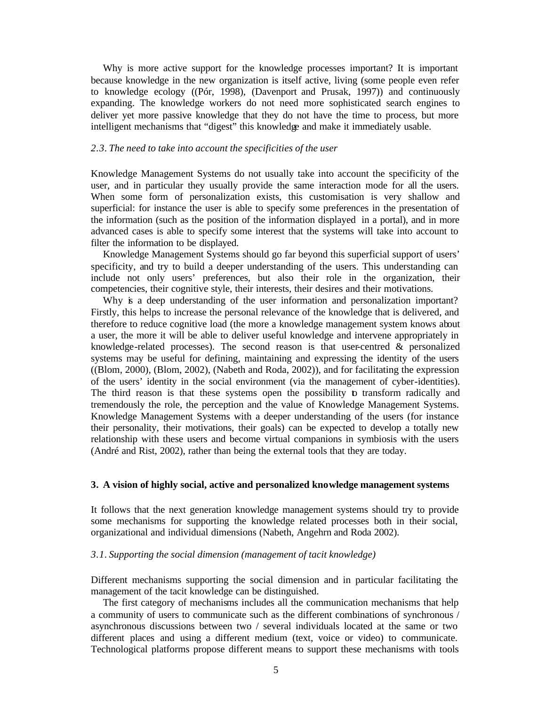Why is more active support for the knowledge processes important? It is important because knowledge in the new organization is itself active, living (some people even refer to knowledge ecology ((Pór, 1998), (Davenport and Prusak, 1997)) and continuously expanding. The knowledge workers do not need more sophisticated search engines to deliver yet more passive knowledge that they do not have the time to process, but more intelligent mechanisms that "digest" this knowledge and make it immediately usable.

#### *2.3. The need to take into account the specificities of the user*

Knowledge Management Systems do not usually take into account the specificity of the user, and in particular they usually provide the same interaction mode for all the users. When some form of personalization exists, this customisation is very shallow and superficial: for instance the user is able to specify some preferences in the presentation of the information (such as the position of the information displayed in a portal), and in more advanced cases is able to specify some interest that the systems will take into account to filter the information to be displayed.

Knowledge Management Systems should go far beyond this superficial support of users' specificity, and try to build a deeper understanding of the users. This understanding can include not only users' preferences, but also their role in the organization, their competencies, their cognitive style, their interests, their desires and their motivations.

Why is a deep understanding of the user information and personalization important? Firstly, this helps to increase the personal relevance of the knowledge that is delivered, and therefore to reduce cognitive load (the more a knowledge management system knows about a user, the more it will be able to deliver useful knowledge and intervene appropriately in knowledge-related processes). The second reason is that user-centred & personalized systems may be useful for defining, maintaining and expressing the identity of the users ((Blom, 2000), (Blom, 2002), (Nabeth and Roda, 2002)), and for facilitating the expression of the users' identity in the social environment (via the management of cyber-identities). The third reason is that these systems open the possibility to transform radically and tremendously the role, the perception and the value of Knowledge Management Systems. Knowledge Management Systems with a deeper understanding of the users (for instance their personality, their motivations, their goals) can be expected to develop a totally new relationship with these users and become virtual companions in symbiosis with the users (André and Rist, 2002), rather than being the external tools that they are today.

#### **3. A vision of highly social, active and personalized knowledge management systems**

It follows that the next generation knowledge management systems should try to provide some mechanisms for supporting the knowledge related processes both in their social, organizational and individual dimensions (Nabeth, Angehrn and Roda 2002).

#### *3.1. Supporting the social dimension (management of tacit knowledge)*

Different mechanisms supporting the social dimension and in particular facilitating the management of the tacit knowledge can be distinguished.

The first category of mechanisms includes all the communication mechanisms that help a community of users to communicate such as the different combinations of synchronous / asynchronous discussions between two / several individuals located at the same or two different places and using a different medium (text, voice or video) to communicate. Technological platforms propose different means to support these mechanisms with tools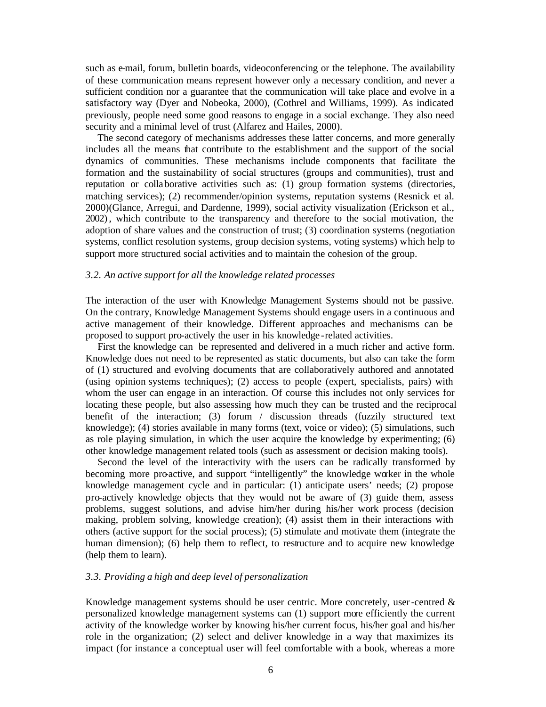such as e-mail, forum, bulletin boards, videoconferencing or the telephone. The availability of these communication means represent however only a necessary condition, and never a sufficient condition nor a guarantee that the communication will take place and evolve in a satisfactory way (Dyer and Nobeoka, 2000), (Cothrel and Williams, 1999). As indicated previously, people need some good reasons to engage in a social exchange. They also need security and a minimal level of trust (Alfarez and Hailes, 2000).

The second category of mechanisms addresses these latter concerns, and more generally includes all the means that contribute to the establishment and the support of the social dynamics of communities. These mechanisms include components that facilitate the formation and the sustainability of social structures (groups and communities), trust and reputation or collaborative activities such as: (1) group formation systems (directories, matching services); (2) recommender/opinion systems, reputation systems (Resnick et al. 2000)(Glance, Arregui, and Dardenne, 1999), social activity visualization (Erickson et al., 2002), which contribute to the transparency and therefore to the social motivation, the adoption of share values and the construction of trust; (3) coordination systems (negotiation systems, conflict resolution systems, group decision systems, voting systems) which help to support more structured social activities and to maintain the cohesion of the group.

#### *3.2. An active support for all the knowledge related processes*

The interaction of the user with Knowledge Management Systems should not be passive. On the contrary, Knowledge Management Systems should engage users in a continuous and active management of their knowledge. Different approaches and mechanisms can be proposed to support pro-actively the user in his knowledge -related activities.

First the knowledge can be represented and delivered in a much richer and active form. Knowledge does not need to be represented as static documents, but also can take the form of (1) structured and evolving documents that are collaboratively authored and annotated (using opinion systems techniques); (2) access to people (expert, specialists, pairs) with whom the user can engage in an interaction. Of course this includes not only services for locating these people, but also assessing how much they can be trusted and the reciprocal benefit of the interaction; (3) forum / discussion threads (fuzzily structured text knowledge); (4) stories available in many forms (text, voice or video); (5) simulations, such as role playing simulation, in which the user acquire the knowledge by experimenting; (6) other knowledge management related tools (such as assessment or decision making tools).

Second the level of the interactivity with the users can be radically transformed by becoming more pro-active, and support "intelligently" the knowledge worker in the whole knowledge management cycle and in particular: (1) anticipate users' needs; (2) propose pro-actively knowledge objects that they would not be aware of (3) guide them, assess problems, suggest solutions, and advise him/her during his/her work process (decision making, problem solving, knowledge creation); (4) assist them in their interactions with others (active support for the social process); (5) stimulate and motivate them (integrate the human dimension); (6) help them to reflect, to restructure and to acquire new knowledge (help them to learn).

#### *3.3. Providing a high and deep level of personalization*

Knowledge management systems should be user centric. More concretely, user-centred  $\&$ personalized knowledge management systems can (1) support more efficiently the current activity of the knowledge worker by knowing his/her current focus, his/her goal and his/her role in the organization; (2) select and deliver knowledge in a way that maximizes its impact (for instance a conceptual user will feel comfortable with a book, whereas a more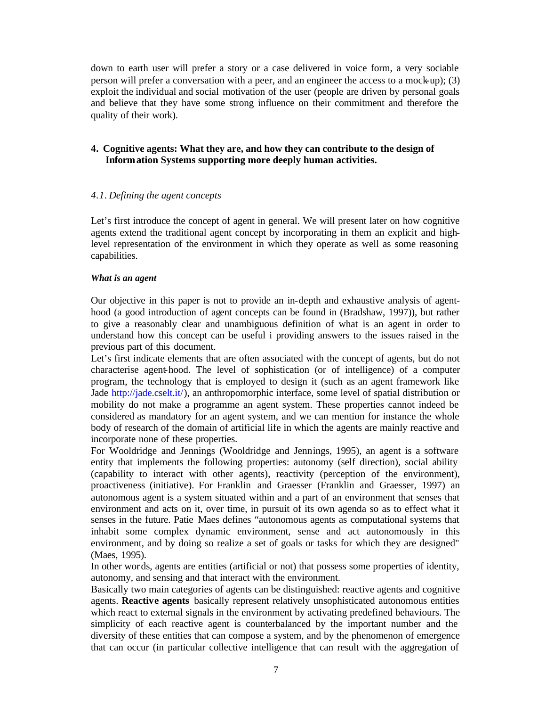down to earth user will prefer a story or a case delivered in voice form, a very sociable person will prefer a conversation with a peer, and an engineer the access to a mock-up); (3) exploit the individual and social motivation of the user (people are driven by personal goals and believe that they have some strong influence on their commitment and therefore the quality of their work).

# **4. Cognitive agents: What they are, and how they can contribute to the design of Information Systems supporting more deeply human activities.**

## *4.1. Defining the agent concepts*

Let's first introduce the concept of agent in general. We will present later on how cognitive agents extend the traditional agent concept by incorporating in them an explicit and highlevel representation of the environment in which they operate as well as some reasoning capabilities.

## *What is an agent*

Our objective in this paper is not to provide an in-depth and exhaustive analysis of agenthood (a good introduction of agent concepts can be found in (Bradshaw, 1997)), but rather to give a reasonably clear and unambiguous definition of what is an agent in order to understand how this concept can be useful i providing answers to the issues raised in the previous part of this document.

Let's first indicate elements that are often associated with the concept of agents, but do not characterise agent-hood. The level of sophistication (or of intelligence) of a computer program, the technology that is employed to design it (such as an agent framework like Jade http://jade.cselt.it/), an anthropomorphic interface, some level of spatial distribution or mobility do not make a programme an agent system. These properties cannot indeed be considered as mandatory for an agent system, and we can mention for instance the whole body of research of the domain of artificial life in which the agents are mainly reactive and incorporate none of these properties.

For Wooldridge and Jennings (Wooldridge and Jennings, 1995), an agent is a software entity that implements the following properties: autonomy (self direction), social ability (capability to interact with other agents), reactivity (perception of the environment), proactiveness (initiative). For Franklin and Graesser (Franklin and Graesser, 1997) an autonomous agent is a system situated within and a part of an environment that senses that environment and acts on it, over time, in pursuit of its own agenda so as to effect what it senses in the future. Patie Maes defines "autonomous agents as computational systems that inhabit some complex dynamic environment, sense and act autonomously in this environment, and by doing so realize a set of goals or tasks for which they are designed" (Maes, 1995).

In other words, agents are entities (artificial or not) that possess some properties of identity, autonomy, and sensing and that interact with the environment.

Basically two main categories of agents can be distinguished: reactive agents and cognitive agents. **Reactive agents** basically represent relatively unsophisticated autonomous entities which react to external signals in the environment by activating predefined behaviours. The simplicity of each reactive agent is counterbalanced by the important number and the diversity of these entities that can compose a system, and by the phenomenon of emergence that can occur (in particular collective intelligence that can result with the aggregation of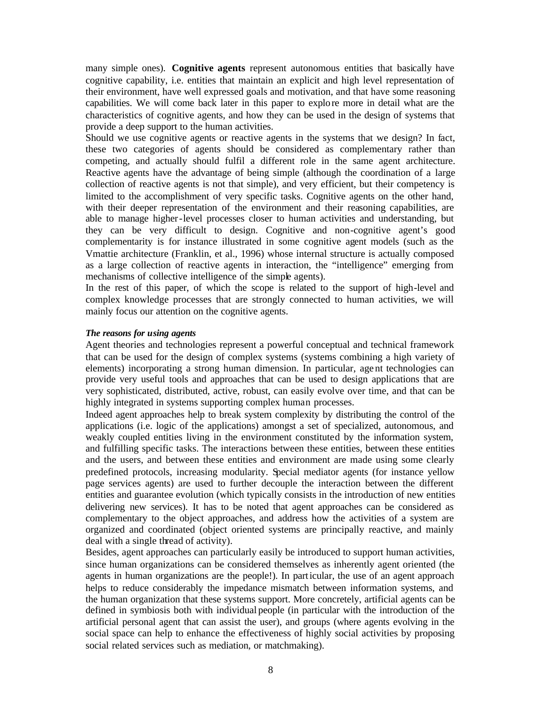many simple ones). **Cognitive agents** represent autonomous entities that basically have cognitive capability, i.e. entities that maintain an explicit and high level representation of their environment, have well expressed goals and motivation, and that have some reasoning capabilities. We will come back later in this paper to explore more in detail what are the characteristics of cognitive agents, and how they can be used in the design of systems that provide a deep support to the human activities.

Should we use cognitive agents or reactive agents in the systems that we design? In fact, these two categories of agents should be considered as complementary rather than competing, and actually should fulfil a different role in the same agent architecture. Reactive agents have the advantage of being simple (although the coordination of a large collection of reactive agents is not that simple), and very efficient, but their competency is limited to the accomplishment of very specific tasks. Cognitive agents on the other hand, with their deeper representation of the environment and their reasoning capabilities, are able to manage higher-level processes closer to human activities and understanding, but they can be very difficult to design. Cognitive and non-cognitive agent's good complementarity is for instance illustrated in some cognitive agent models (such as the Vmattie architecture (Franklin, et al., 1996) whose internal structure is actually composed as a large collection of reactive agents in interaction, the "intelligence" emerging from mechanisms of collective intelligence of the simple agents).

In the rest of this paper, of which the scope is related to the support of high-level and complex knowledge processes that are strongly connected to human activities, we will mainly focus our attention on the cognitive agents.

### *The reasons for using agents*

Agent theories and technologies represent a powerful conceptual and technical framework that can be used for the design of complex systems (systems combining a high variety of elements) incorporating a strong human dimension. In particular, age nt technologies can provide very useful tools and approaches that can be used to design applications that are very sophisticated, distributed, active, robust, can easily evolve over time, and that can be highly integrated in systems supporting complex human processes.

Indeed agent approaches help to break system complexity by distributing the control of the applications (i.e. logic of the applications) amongst a set of specialized, autonomous, and weakly coupled entities living in the environment constituted by the information system, and fulfilling specific tasks. The interactions between these entities, between these entities and the users, and between these entities and environment are made using some clearly predefined protocols, increasing modularity. Special mediator agents (for instance yellow page services agents) are used to further decouple the interaction between the different entities and guarantee evolution (which typically consists in the introduction of new entities delivering new services). It has to be noted that agent approaches can be considered as complementary to the object approaches, and address how the activities of a system are organized and coordinated (object oriented systems are principally reactive, and mainly deal with a single thread of activity).

Besides, agent approaches can particularly easily be introduced to support human activities, since human organizations can be considered themselves as inherently agent oriented (the agents in human organizations are the people!). In particular, the use of an agent approach helps to reduce considerably the impedance mismatch between information systems, and the human organization that these systems support. More concretely, artificial agents can be defined in symbiosis both with individual people (in particular with the introduction of the artificial personal agent that can assist the user), and groups (where agents evolving in the social space can help to enhance the effectiveness of highly social activities by proposing social related services such as mediation, or matchmaking).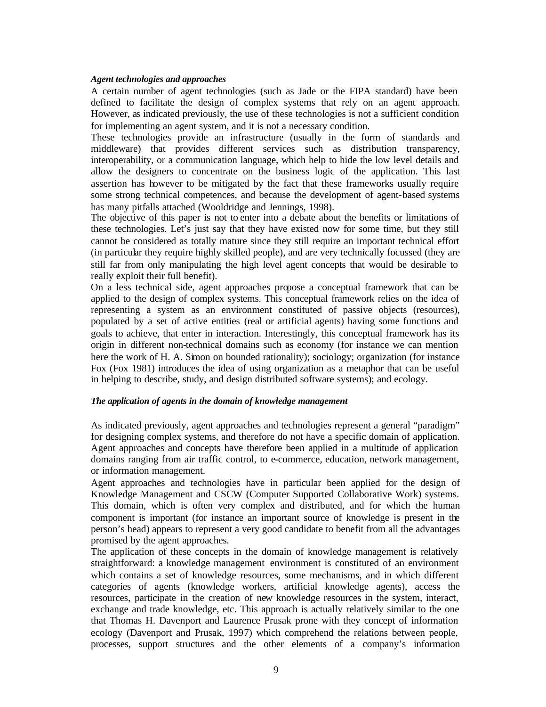#### *Agent technologies and approaches*

A certain number of agent technologies (such as Jade or the FIPA standard) have been defined to facilitate the design of complex systems that rely on an agent approach. However, as indicated previously, the use of these technologies is not a sufficient condition for implementing an agent system, and it is not a necessary condition.

These technologies provide an infrastructure (usually in the form of standards and middleware) that provides different services such as distribution transparency, interoperability, or a communication language, which help to hide the low level details and allow the designers to concentrate on the business logic of the application. This last assertion has however to be mitigated by the fact that these frameworks usually require some strong technical competences, and because the development of agent-based systems has many pitfalls attached (Wooldridge and Jennings, 1998).

The objective of this paper is not to enter into a debate about the benefits or limitations of these technologies. Let's just say that they have existed now for some time, but they still cannot be considered as totally mature since they still require an important technical effort (in particular they require highly skilled people), and are very technically focussed (they are still far from only manipulating the high level agent concepts that would be desirable to really exploit their full benefit).

On a less technical side, agent approaches propose a conceptual framework that can be applied to the design of complex systems. This conceptual framework relies on the idea of representing a system as an environment constituted of passive objects (resources), populated by a set of active entities (real or artificial agents) having some functions and goals to achieve, that enter in interaction. Interestingly, this conceptual framework has its origin in different non-technical domains such as economy (for instance we can mention here the work of H. A. Simon on bounded rationality); sociology; organization (for instance Fox (Fox 1981) introduces the idea of using organization as a metaphor that can be useful in helping to describe, study, and design distributed software systems); and ecology.

#### *The application of agents in the domain of knowledge management*

As indicated previously, agent approaches and technologies represent a general "paradigm" for designing complex systems, and therefore do not have a specific domain of application. Agent approaches and concepts have therefore been applied in a multitude of application domains ranging from air traffic control, to e-commerce, education, network management, or information management.

Agent approaches and technologies have in particular been applied for the design of Knowledge Management and CSCW (Computer Supported Collaborative Work) systems. This domain, which is often very complex and distributed, and for which the human component is important (for instance an important source of knowledge is present in the person's head) appears to represent a very good candidate to benefit from all the advantages promised by the agent approaches.

The application of these concepts in the domain of knowledge management is relatively straightforward: a knowledge management environment is constituted of an environment which contains a set of knowledge resources, some mechanisms, and in which different categories of agents (knowledge workers, artificial knowledge agents), access the resources, participate in the creation of new knowledge resources in the system, interact, exchange and trade knowledge, etc. This approach is actually relatively similar to the one that Thomas H. Davenport and Laurence Prusak prone with they concept of information ecology (Davenport and Prusak, 1997) which comprehend the relations between people, processes, support structures and the other elements of a company's information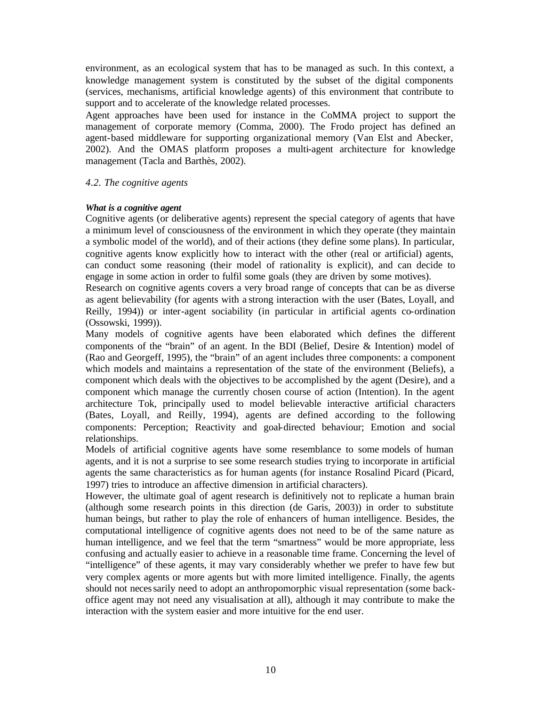environment, as an ecological system that has to be managed as such. In this context, a knowledge management system is constituted by the subset of the digital components (services, mechanisms, artificial knowledge agents) of this environment that contribute to support and to accelerate of the knowledge related processes.

Agent approaches have been used for instance in the CoMMA project to support the management of corporate memory (Comma, 2000). The Frodo project has defined an agent-based middleware for supporting organizational memory (Van Elst and Abecker, 2002). And the OMAS platform proposes a multi-agent architecture for knowledge management (Tacla and Barthès, 2002).

## *4.2. The cognitive agents*

## *What is a cognitive agent*

Cognitive agents (or deliberative agents) represent the special category of agents that have a minimum level of consciousness of the environment in which they operate (they maintain a symbolic model of the world), and of their actions (they define some plans). In particular, cognitive agents know explicitly how to interact with the other (real or artificial) agents, can conduct some reasoning (their model of rationality is explicit), and can decide to engage in some action in order to fulfil some goals (they are driven by some motives).

Research on cognitive agents covers a very broad range of concepts that can be as diverse as agent believability (for agents with a strong interaction with the user (Bates, Loyall, and Reilly, 1994)) or inter-agent sociability (in particular in artificial agents co-ordination (Ossowski, 1999)).

Many models of cognitive agents have been elaborated which defines the different components of the "brain" of an agent. In the BDI (Belief, Desire & Intention) model of (Rao and Georgeff, 1995), the "brain" of an agent includes three components: a component which models and maintains a representation of the state of the environment (Beliefs), a component which deals with the objectives to be accomplished by the agent (Desire), and a component which manage the currently chosen course of action (Intention). In the agent architecture Tok, principally used to model believable interactive artificial characters (Bates, Loyall, and Reilly, 1994), agents are defined according to the following components: Perception; Reactivity and goal-directed behaviour; Emotion and social relationships.

Models of artificial cognitive agents have some resemblance to some models of human agents, and it is not a surprise to see some research studies trying to incorporate in artificial agents the same characteristics as for human agents (for instance Rosalind Picard (Picard, 1997) tries to introduce an affective dimension in artificial characters).

However, the ultimate goal of agent research is definitively not to replicate a human brain (although some research points in this direction (de Garis, 2003)) in order to substitute human beings, but rather to play the role of enhancers of human intelligence. Besides, the computational intelligence of cognitive agents does not need to be of the same nature as human intelligence, and we feel that the term "smartness" would be more appropriate, less confusing and actually easier to achieve in a reasonable time frame. Concerning the level of "intelligence" of these agents, it may vary considerably whether we prefer to have few but very complex agents or more agents but with more limited intelligence. Finally, the agents should not necessarily need to adopt an anthropomorphic visual representation (some backoffice agent may not need any visualisation at all), although it may contribute to make the interaction with the system easier and more intuitive for the end user.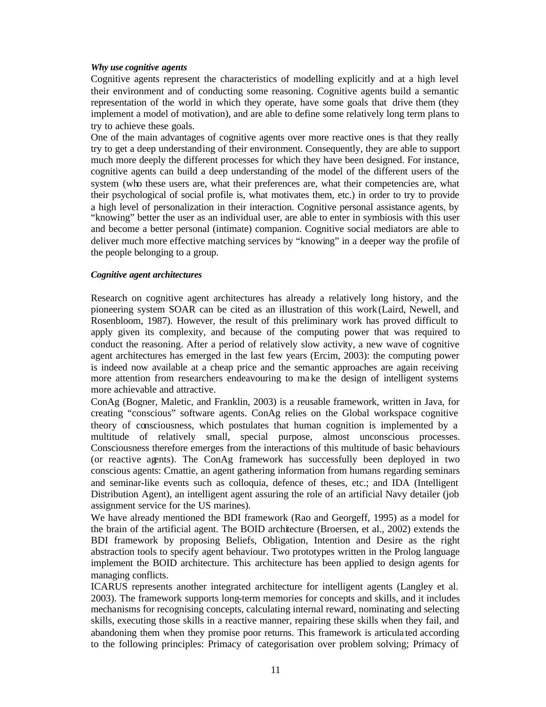## *Why use cognitive agents*

Cognitive agents represent the characteristics of modelling explicitly and at a high level their environment and of conducting some reasoning. Cognitive agents build a semantic representation of the world in which they operate, have some goals that drive them (they implement a model of motivation), and are able to define some relatively long term plans to try to achieve these goals.

One of the main advantages of cognitive agents over more reactive ones is that they really try to get a deep understanding of their environment. Consequently, they are able to support much more deeply the different processes for which they have been designed. For instance, cognitive agents can build a deep understanding of the model of the different users of the system (who these users are, what their preferences are, what their competencies are, what their psychological of social profile is, what motivates them, etc.) in order to try to provide a high level of personalization in their interaction. Cognitive personal assistance agents, by "knowing" better the user as an individual user, are able to enter in symbiosis with this user and become a better personal (intimate) companion. Cognitive social mediators are able to deliver much more effective matching services by "knowing" in a deeper way the profile of the people belonging to a group.

# *Cognitive agent architectures*

Research on cognitive agent architectures has already a relatively long history, and the pioneering system SOAR can be cited as an illustration of this work (Laird, Newell, and Rosenbloom, 1987). However, the result of this preliminary work has proved difficult to apply given its complexity, and because of the computing power that was required to conduct the reasoning. After a period of relatively slow activity, a new wave of cognitive agent architectures has emerged in the last few years (Ercim, 2003): the computing power is indeed now available at a cheap price and the semantic approaches are again receiving more attention from researchers endeavouring to ma ke the design of intelligent systems more achievable and attractive.

ConAg (Bogner, Maletic, and Franklin, 2003) is a reusable framework, written in Java, for creating "conscious" software agents. ConAg relies on the Global workspace cognitive theory of consciousness, which postulates that human cognition is implemented by a multitude of relatively small, special purpose, almost unconscious processes. Consciousness therefore emerges from the interactions of this multitude of basic behaviours (or reactive agents). The ConAg framework has successfully been deployed in two conscious agents: Cmattie, an agent gathering information from humans regarding seminars and seminar-like events such as colloquia, defence of theses, etc.; and IDA (Intelligent Distribution Agent), an intelligent agent assuring the role of an artificial Navy detailer (job assignment service for the US marines).

We have already mentioned the BDI framework (Rao and Georgeff, 1995) as a model for the brain of the artificial agent. The BOID architecture (Broersen, et al., 2002) extends the BDI framework by proposing Beliefs, Obligation, Intention and Desire as the right abstraction tools to specify agent behaviour. Two prototypes written in the Prolog language implement the BOID architecture. This architecture has been applied to design agents for managing conflicts.

ICARUS represents another integrated architecture for intelligent agents (Langley et al. 2003). The framework supports long-term memories for concepts and skills, and it includes mechanisms for recognising concepts, calculating internal reward, nominating and selecting skills, executing those skills in a reactive manner, repairing these skills when they fail, and abandoning them when they promise poor returns. This framework is articula ted according to the following principles: Primacy of categorisation over problem solving; Primacy of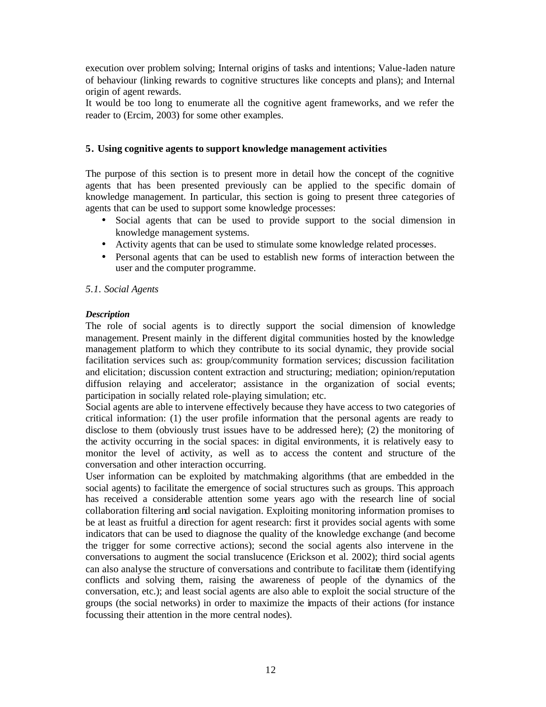execution over problem solving; Internal origins of tasks and intentions; Value-laden nature of behaviour (linking rewards to cognitive structures like concepts and plans); and Internal origin of agent rewards.

It would be too long to enumerate all the cognitive agent frameworks, and we refer the reader to (Ercim, 2003) for some other examples.

# **5. Using cognitive agents to support knowledge management activities**

The purpose of this section is to present more in detail how the concept of the cognitive agents that has been presented previously can be applied to the specific domain of knowledge management. In particular, this section is going to present three categories of agents that can be used to support some knowledge processes:

- Social agents that can be used to provide support to the social dimension in knowledge management systems.
- Activity agents that can be used to stimulate some knowledge related processes.
- Personal agents that can be used to establish new forms of interaction between the user and the computer programme.

## *5.1. Social Agents*

# *Description*

The role of social agents is to directly support the social dimension of knowledge management. Present mainly in the different digital communities hosted by the knowledge management platform to which they contribute to its social dynamic, they provide social facilitation services such as: group/community formation services; discussion facilitation and elicitation; discussion content extraction and structuring; mediation; opinion/reputation diffusion relaying and accelerator; assistance in the organization of social events; participation in socially related role-playing simulation; etc.

Social agents are able to intervene effectively because they have access to two categories of critical information: (1) the user profile information that the personal agents are ready to disclose to them (obviously trust issues have to be addressed here); (2) the monitoring of the activity occurring in the social spaces: in digital environments, it is relatively easy to monitor the level of activity, as well as to access the content and structure of the conversation and other interaction occurring.

User information can be exploited by matchmaking algorithms (that are embedded in the social agents) to facilitate the emergence of social structures such as groups. This approach has received a considerable attention some years ago with the research line of social collaboration filtering and social navigation. Exploiting monitoring information promises to be at least as fruitful a direction for agent research: first it provides social agents with some indicators that can be used to diagnose the quality of the knowledge exchange (and become the trigger for some corrective actions); second the social agents also intervene in the conversations to augment the social translucence (Erickson et al. 2002); third social agents can also analyse the structure of conversations and contribute to facilitate them (identifying conflicts and solving them, raising the awareness of people of the dynamics of the conversation, etc.); and least social agents are also able to exploit the social structure of the groups (the social networks) in order to maximize the impacts of their actions (for instance focussing their attention in the more central nodes).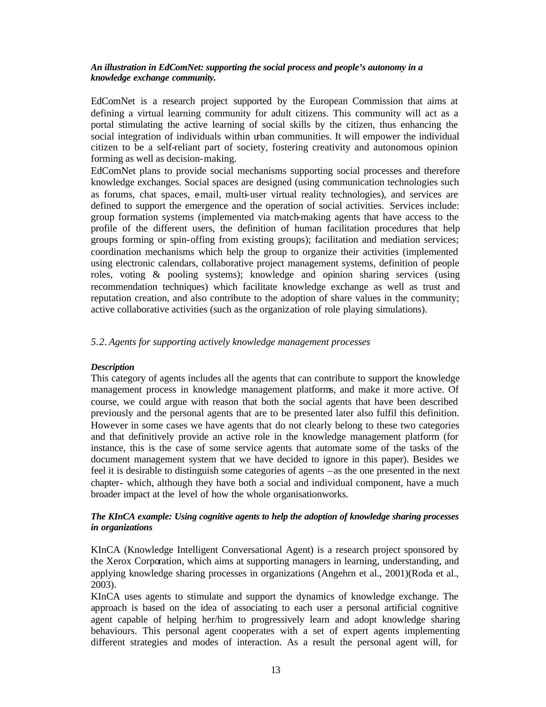## *An illustration in EdComNet: supporting the social process and people's autonomy in a knowledge exchange community.*

EdComNet is a research project supported by the European Commission that aims at defining a virtual learning community for adult citizens. This community will act as a portal stimulating the active learning of social skills by the citizen, thus enhancing the social integration of individuals within urban communities. It will empower the individual citizen to be a self-reliant part of society, fostering creativity and autonomous opinion forming as well as decision-making.

EdComNet plans to provide social mechanisms supporting social processes and therefore knowledge exchanges. Social spaces are designed (using communication technologies such as forums, chat spaces, e-mail, multi-user virtual reality technologies), and services are defined to support the emergence and the operation of social activities. Services include: group formation systems (implemented via match-making agents that have access to the profile of the different users, the definition of human facilitation procedures that help groups forming or spin-offing from existing groups); facilitation and mediation services; coordination mechanisms which help the group to organize their activities (implemented using electronic calendars, collaborative project management systems, definition of people roles, voting & pooling systems); knowledge and opinion sharing services (using recommendation techniques) which facilitate knowledge exchange as well as trust and reputation creation, and also contribute to the adoption of share values in the community; active collaborative activities (such as the organization of role playing simulations).

## *5.2. Agents for supporting actively knowledge management processes*

### *Description*

This category of agents includes all the agents that can contribute to support the knowledge management process in knowledge management platforms, and make it more active. Of course, we could argue with reason that both the social agents that have been described previously and the personal agents that are to be presented later also fulfil this definition. However in some cases we have agents that do not clearly belong to these two categories and that definitively provide an active role in the knowledge management platform (for instance, this is the case of some service agents that automate some of the tasks of the document management system that we have decided to ignore in this paper). Besides we feel it is desirable to distinguish some categories of agents –as the one presented in the next chapter- which, although they have both a social and individual component, have a much broader impact at the level of how the whole organisationworks.

## *The KInCA example: Using cognitive agents to help the adoption of knowledge sharing processes in organizations*

KInCA (Knowledge Intelligent Conversational Agent) is a research project sponsored by the Xerox Corporation, which aims at supporting managers in learning, understanding, and applying knowledge sharing processes in organizations (Angehrn et al., 2001)(Roda et al., 2003).

KInCA uses agents to stimulate and support the dynamics of knowledge exchange. The approach is based on the idea of associating to each user a personal artificial cognitive agent capable of helping her/him to progressively learn and adopt knowledge sharing behaviours. This personal agent cooperates with a set of expert agents implementing different strategies and modes of interaction. As a result the personal agent will, for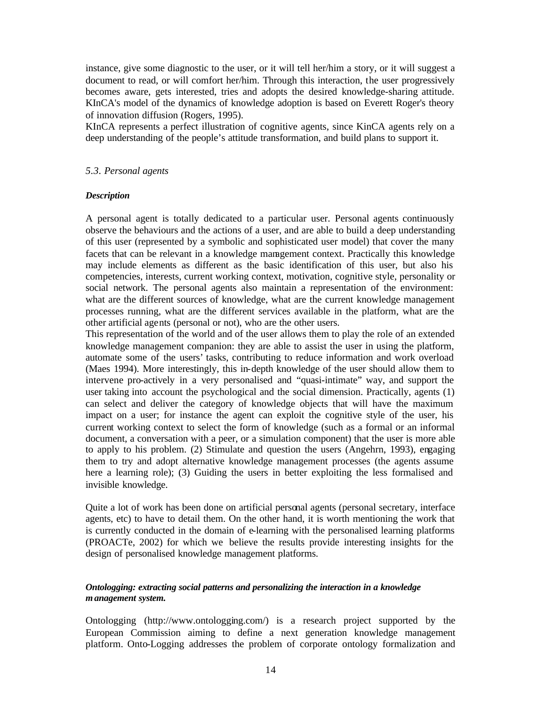instance, give some diagnostic to the user, or it will tell her/him a story, or it will suggest a document to read, or will comfort her/him. Through this interaction, the user progressively becomes aware, gets interested, tries and adopts the desired knowledge-sharing attitude. KInCA's model of the dynamics of knowledge adoption is based on Everett Roger's theory of innovation diffusion (Rogers, 1995).

KInCA represents a perfect illustration of cognitive agents, since KinCA agents rely on a deep understanding of the people's attitude transformation, and build plans to support it.

## *5.3. Personal agents*

## *Description*

A personal agent is totally dedicated to a particular user. Personal agents continuously observe the behaviours and the actions of a user, and are able to build a deep understanding of this user (represented by a symbolic and sophisticated user model) that cover the many facets that can be relevant in a knowledge management context. Practically this knowledge may include elements as different as the basic identification of this user, but also his competencies, interests, current working context, motivation, cognitive style, personality or social network. The personal agents also maintain a representation of the environment: what are the different sources of knowledge, what are the current knowledge management processes running, what are the different services available in the platform, what are the other artificial agents (personal or not), who are the other users.

This representation of the world and of the user allows them to play the role of an extended knowledge management companion: they are able to assist the user in using the platform, automate some of the users' tasks, contributing to reduce information and work overload (Maes 1994). More interestingly, this in-depth knowledge of the user should allow them to intervene pro-actively in a very personalised and "quasi-intimate" way, and support the user taking into account the psychological and the social dimension. Practically, agents (1) can select and deliver the category of knowledge objects that will have the maximum impact on a user; for instance the agent can exploit the cognitive style of the user, his current working context to select the form of knowledge (such as a formal or an informal document, a conversation with a peer, or a simulation component) that the user is more able to apply to his problem. (2) Stimulate and question the users (Angehrn, 1993), engaging them to try and adopt alternative knowledge management processes (the agents assume here a learning role); (3) Guiding the users in better exploiting the less formalised and invisible knowledge.

Quite a lot of work has been done on artificial personal agents (personal secretary, interface agents, etc) to have to detail them. On the other hand, it is worth mentioning the work that is currently conducted in the domain of e-learning with the personalised learning platforms (PROACTe, 2002) for which we believe the results provide interesting insights for the design of personalised knowledge management platforms.

# *Ontologging: extracting social patterns and personalizing the interaction in a knowledge management system.*

Ontologging (http://www.ontologging.com/) is a research project supported by the European Commission aiming to define a next generation knowledge management platform. Onto-Logging addresses the problem of corporate ontology formalization and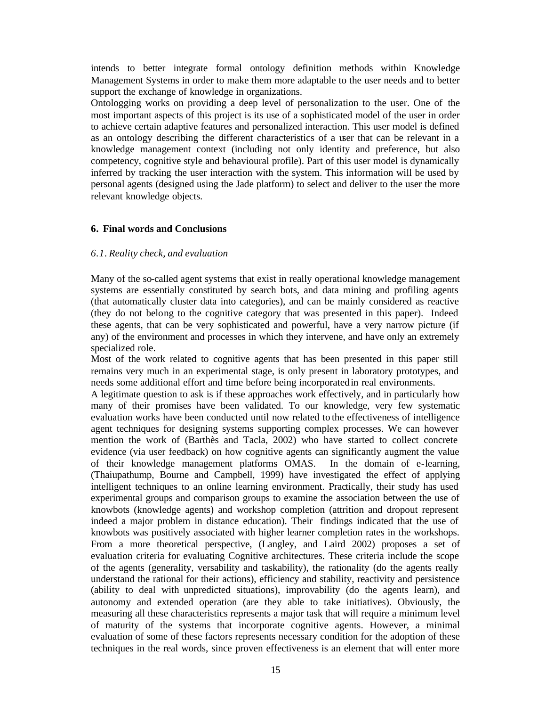intends to better integrate formal ontology definition methods within Knowledge Management Systems in order to make them more adaptable to the user needs and to better support the exchange of knowledge in organizations.

Ontologging works on providing a deep level of personalization to the user. One of the most important aspects of this project is its use of a sophisticated model of the user in order to achieve certain adaptive features and personalized interaction. This user model is defined as an ontology describing the different characteristics of a user that can be relevant in a knowledge management context (including not only identity and preference, but also competency, cognitive style and behavioural profile). Part of this user model is dynamically inferred by tracking the user interaction with the system. This information will be used by personal agents (designed using the Jade platform) to select and deliver to the user the more relevant knowledge objects.

# **6. Final words and Conclusions**

# *6.1. Reality check, and evaluation*

Many of the so-called agent systems that exist in really operational knowledge management systems are essentially constituted by search bots, and data mining and profiling agents (that automatically cluster data into categories), and can be mainly considered as reactive (they do not belong to the cognitive category that was presented in this paper). Indeed these agents, that can be very sophisticated and powerful, have a very narrow picture (if any) of the environment and processes in which they intervene, and have only an extremely specialized role.

Most of the work related to cognitive agents that has been presented in this paper still remains very much in an experimental stage, is only present in laboratory prototypes, and needs some additional effort and time before being incorporated in real environments.

A legitimate question to ask is if these approaches work effectively, and in particularly how many of their promises have been validated. To our knowledge, very few systematic evaluation works have been conducted until now related to the effectiveness of intelligence agent techniques for designing systems supporting complex processes. We can however mention the work of (Barthès and Tacla, 2002) who have started to collect concrete evidence (via user feedback) on how cognitive agents can significantly augment the value of their knowledge management platforms OMAS. In the domain of e-learning, (Thaiupathump, Bourne and Campbell, 1999) have investigated the effect of applying intelligent techniques to an online learning environment. Practically, their study has used experimental groups and comparison groups to examine the association between the use of knowbots (knowledge agents) and workshop completion (attrition and dropout represent indeed a major problem in distance education). Their findings indicated that the use of knowbots was positively associated with higher learner completion rates in the workshops. From a more theoretical perspective, (Langley, and Laird 2002) proposes a set of evaluation criteria for evaluating Cognitive architectures. These criteria include the scope of the agents (generality, versability and taskability), the rationality (do the agents really understand the rational for their actions), efficiency and stability, reactivity and persistence (ability to deal with unpredicted situations), improvability (do the agents learn), and autonomy and extended operation (are they able to take initiatives). Obviously, the measuring all these characteristics represents a major task that will require a minimum level of maturity of the systems that incorporate cognitive agents. However, a minimal evaluation of some of these factors represents necessary condition for the adoption of these techniques in the real words, since proven effectiveness is an element that will enter more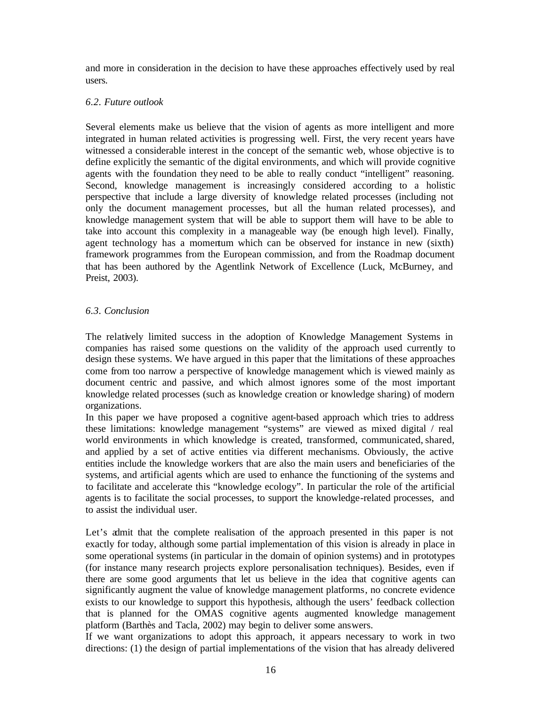and more in consideration in the decision to have these approaches effectively used by real users.

# *6.2. Future outlook*

Several elements make us believe that the vision of agents as more intelligent and more integrated in human related activities is progressing well. First, the very recent years have witnessed a considerable interest in the concept of the semantic web, whose objective is to define explicitly the semantic of the digital environments, and which will provide cognitive agents with the foundation they need to be able to really conduct "intelligent" reasoning. Second, knowledge management is increasingly considered according to a holistic perspective that include a large diversity of knowledge related processes (including not only the document management processes, but all the human related processes), and knowledge management system that will be able to support them will have to be able to take into account this complexity in a manageable way (be enough high level). Finally, agent technology has a momentum which can be observed for instance in new (sixth) framework programmes from the European commission, and from the Roadmap document that has been authored by the Agentlink Network of Excellence (Luck, McBurney, and Preist, 2003).

# *6.3. Conclusion*

The relatively limited success in the adoption of Knowledge Management Systems in companies has raised some questions on the validity of the approach used currently to design these systems. We have argued in this paper that the limitations of these approaches come from too narrow a perspective of knowledge management which is viewed mainly as document centric and passive, and which almost ignores some of the most important knowledge related processes (such as knowledge creation or knowledge sharing) of modern organizations.

In this paper we have proposed a cognitive agent-based approach which tries to address these limitations: knowledge management "systems" are viewed as mixed digital / real world environments in which knowledge is created, transformed, communicated, shared, and applied by a set of active entities via different mechanisms. Obviously, the active entities include the knowledge workers that are also the main users and beneficiaries of the systems, and artificial agents which are used to enhance the functioning of the systems and to facilitate and accelerate this "knowledge ecology". In particular the role of the artificial agents is to facilitate the social processes, to support the knowledge-related processes, and to assist the individual user.

Let's admit that the complete realisation of the approach presented in this paper is not exactly for today, although some partial implementation of this vision is already in place in some operational systems (in particular in the domain of opinion systems) and in prototypes (for instance many research projects explore personalisation techniques). Besides, even if there are some good arguments that let us believe in the idea that cognitive agents can significantly augment the value of knowledge management platforms, no concrete evidence exists to our knowledge to support this hypothesis, although the users' feedback collection that is planned for the OMAS cognitive agents augmented knowledge management platform (Barthès and Tacla, 2002) may begin to deliver some answers.

If we want organizations to adopt this approach, it appears necessary to work in two directions: (1) the design of partial implementations of the vision that has already delivered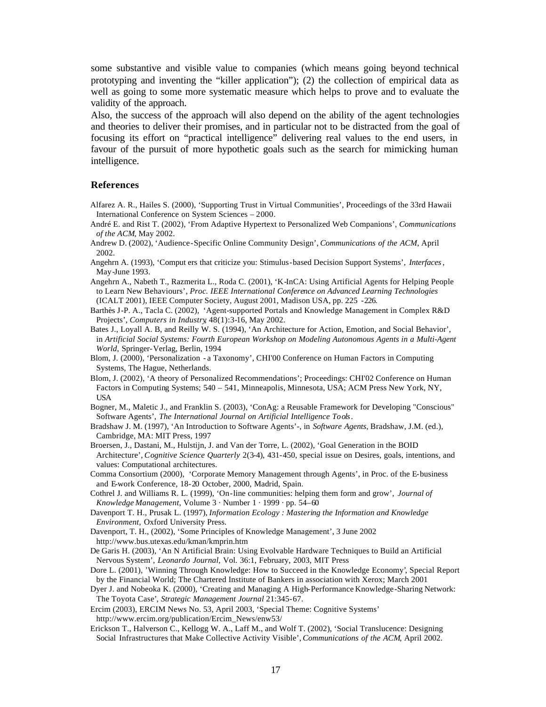some substantive and visible value to companies (which means going beyond technical prototyping and inventing the "killer application"); (2) the collection of empirical data as well as going to some more systematic measure which helps to prove and to evaluate the validity of the approach.

Also, the success of the approach will also depend on the ability of the agent technologies and theories to deliver their promises, and in particular not to be distracted from the goal of focusing its effort on "practical intelligence" delivering real values to the end users, in favour of the pursuit of more hypothetic goals such as the search for mimicking human intelligence.

#### **References**

- Alfarez A. R., Hailes S. (2000), 'Supporting Trust in Virtual Communities', Proceedings of the 33rd Hawaii International Conference on System Sciences – 2000.
- André E. and Rist T. (2002), 'From Adaptive Hypertext to Personalized Web Companions', *Communications of the ACM*, May 2002.
- Andrew D. (2002), 'Audience-Specific Online Community Design', *Communications of the ACM*, April 2002.
- Angehrn A. (1993), 'Comput ers that criticize you: Stimulus-based Decision Support Systems', *Interfaces*, May-June 1993.
- Angehrn A., Nabeth T., Razmerita L., Roda C. (2001), 'K-InCA: Using Artificial Agents for Helping People to Learn New Behaviours', *Proc. IEEE International Conference on Advanced Learning Technologies* (ICALT 2001), IEEE Computer Society, August 2001, Madison USA, pp. 225 -226.
- Barthès J-P. A., Tacla C. (2002), 'Agent-supported Portals and Knowledge Management in Complex R&D Projects', *Computers in Industry*, 48(1):3-16, May 2002.
- Bates J., Loyall A. B, and Reilly W. S. (1994), 'An Architecture for Action, Emotion, and Social Behavior', in *Artificial Social Systems: Fourth European Workshop on Modeling Autonomous Agents in a Multi-Agent World*, Springer-Verlag, Berlin, 1994
- Blom, J. (2000), 'Personalization a Taxonomy', CHI'00 Conference on Human Factors in Computing Systems, The Hague, Netherlands.
- Blom, J. (2002), 'A theory of Personalized Recommendations'; Proceedings: CHI'02 Conference on Human Factors in Computing Systems; 540 – 541, Minneapolis, Minnesota, USA; ACM Press New York, NY, USA
- Bogner, M., Maletic J., and Franklin S. (2003), 'ConAg: a Reusable Framework for Developing "Conscious" Software Agents', *The International Journal on Artificial Intelligence Tools*.
- Bradshaw J. M. (1997), 'An Introduction to Software Agents'-, in *Software Agents*, Bradshaw, J.M. (ed.), Cambridge, MA: MIT Press, 1997
- Broersen, J., Dastani, M., Hulstijn, J. and Van der Torre, L. (2002), 'Goal Generation in the BOID Architecture', *Cognitive Science Quarterly* 2(3-4), 431-450, special issue on Desires, goals, intentions, and values: Computational architectures.
- Comma Consortium (2000), 'Corporate Memory Management through Agents', in Proc. of the E-business and E-work Conference, 18-20 October, 2000, Madrid, Spain.
- Cothrel J. and Williams R. L. (1999), 'On-line communities: helping them form and grow', *Journal of Knowledge Management*, Volume 3 · Number 1 · 1999 · pp. 54–60
- Davenport T. H., Prusak L. (1997), *Information Ecology : Mastering the Information and Knowledge Environment,* Oxford University Press.
- Davenport, T. H., (2002), 'Some Principles of Knowledge Management', 3 June 2002 http://www.bus.utexas.edu/kman/kmprin.htm
- De Garis H. (2003), 'An N Artificial Brain: Using Evolvable Hardware Techniques to Build an Artificial Nervous System', *Leonardo Journal*, Vol. 36:1, February, 2003, MIT Press
- Dore L. (2001), 'Winning Through Knowledge: How to Succeed in the Knowledge Economy', Special Report by the Financial World; The Chartered Institute of Bankers in association with Xerox; March 2001
- Dyer J. and Nobeoka K. (2000), 'Creating and Managing A High-Performance Knowledge-Sharing Network: The Toyota Case*', Strategic Management Journal* 21:345-67.
- Ercim (2003), ERCIM News No. 53, April 2003, 'Special Theme: Cognitive Systems' http://www.ercim.org/publication/Ercim\_News/enw53/
- Erickson T., Halverson C., Kellogg W. A., Laff M., and Wolf T. (2002), 'Social Translucence: Designing Social Infrastructures that Make Collective Activity Visible', *Communications of the ACM*, April 2002.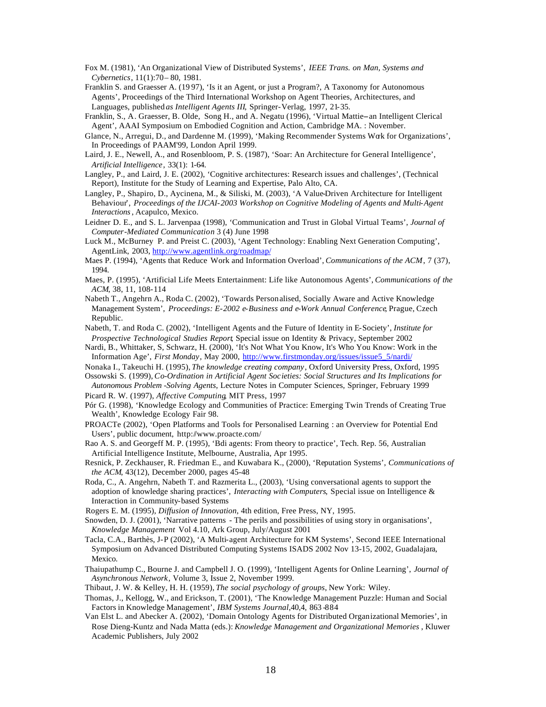- Fox M. (1981), 'An Organizational View of Distributed Systems', *IEEE Trans. on Man, Systems and Cybernetics*, 11(1):70– 80, 1981.
- Franklin S. and Graesser A. (19 97), 'Is it an Agent, or just a Program?, A Taxonomy for Autonomous Agents', Proceedings of the Third International Workshop on Agent Theories, Architectures, and Languages, published *as Intelligent Agents III*, Springer-Verlag, 1997, 21-35.
- Franklin, S., A. Graesser, B. Olde, Song H., and A. Negatu (1996), 'Virtual Mattie--an Intelligent Clerical Agent', AAAI Symposium on Embodied Cognition and Action, Cambridge MA. : November.
- Glance, N., Arregui, D., and Dardenne M. (1999), 'Making Recommender Systems Work for Organizations', In Proceedings of PAAM'99, London April 1999.
- Laird, J. E., Newell, A., and Rosenbloom, P. S. (1987), 'Soar: An Architecture for General Intelligence', *Artificial Intelligence*, 33(1): 1-64.
- Langley, P., and Laird, J. E. (2002), 'Cognitive architectures: Research issues and challenges', (Technical Report), Institute for the Study of Learning and Expertise, Palo Alto, CA.
- Langley, P., Shapiro, D., Aycinena, M., & Siliski, M. (2003), 'A Value-Driven Architecture for Intelligent Behaviour', *Proceedings of the IJCAI-2003 Workshop on Cognitive Modeling of Agents and Multi-Agent Interactions*, Acapulco, Mexico.
- Leidner D. E., and S. L. Jarvenpaa (1998), 'Communication and Trust in Global Virtual Teams', *Journal of Computer-Mediated Communication* 3 (4) June 1998
- Luck M., McBurney P. and Preist C. (2003), 'Agent Technology: Enabling Next Generation Computing', AgentLink, 2003, http://www.agentlink.org/roadmap/
- Maes P. (1994), 'Agents that Reduce Work and Information Overload', *Communications of the ACM*, 7 (37), 1994.
- Maes, P. (1995), 'Artificial Life Meets Entertainment: Life like Autonomous Agents', *Communications of the ACM*, 38, 11, 108-114
- Nabeth T., Angehrn A., Roda C. (2002), 'Towards Personalised, Socially Aware and Active Knowledge Management System', *Proceedings: E-2002 e-Business and e-Work Annual Conference*, Prague, Czech Republic.
- Nabeth, T. and Roda C. (2002), 'Intelligent Agents and the Future of Identity in E-Society', *Institute for Prospective Technological Studies Report*, Special issue on Identity & Privacy, September 2002
- Nardi, B., Whittaker, S, Schwarz, H. (2000), 'It's Not What You Know, It's Who You Know: Work in the Information Age', *First Monday*, May 2000, http://www.firstmonday.org/issues/issue5\_5/nardi/
- Nonaka I., Takeuchi H. (1995), *The knowledge creating company*, Oxford University Press, Oxford, 1995
- Ossowski S. (1999), *Co-Ordination in Artificial Agent Societies: Social Structures and Its Implications for Autonomous Problem -Solving Agents*, Lecture Notes in Computer Sciences, Springer, February 1999
- Picard R. W. (1997), *Affective Computing*, MIT Press, 1997
- Pór G. (1998), 'Knowledge Ecology and Communities of Practice: Emerging Twin Trends of Creating True Wealth', Knowledge Ecology Fair 98.
- PROACTe (2002), 'Open Platforms and Tools for Personalised Learning : an Overview for Potential End Users', public document, http://www.proacte.com/
- Rao A. S. and Georgeff M. P. (1995), 'Bdi agents: From theory to practice', Tech. Rep. 56, Australian Artificial Intelligence Institute, Melbourne, Australia, Apr 1995.
- Resnick, P. Zeckhauser, R. Friedman E., and Kuwabara K., (2000), 'Reputation Systems', *Communications of the ACM*, 43(12), December 2000, pages 45-48
- Roda, C., A. Angehrn, Nabeth T. and Razmerita L., (2003), 'Using conversational agents to support the adoption of knowledge sharing practices', *Interacting with Computers*, Special issue on Intelligence & Interaction in Community-based Systems
- Rogers E. M. (1995), *Diffusion of Innovation*, 4th edition, Free Press, NY, 1995.
- Snowden, D. J. (2001), 'Narrative patterns The perils and possibilities of using story in organisations', *Knowledge Management* Vol 4.10, Ark Group, July/August 2001
- Tacla, C.A., Barthès, J-P (2002), 'A Multi-agent Architecture for KM Systems', Second IEEE International Symposium on Advanced Distributed Computing Systems ISADS 2002 Nov 13-15, 2002, Guadalajara, Mexico.
- Thaiupathump C., Bourne J. and Campbell J. O. (1999), 'Intelligent Agents for Online Learning', *Journal of Asynchronous Network*, Volume 3, Issue 2, November 1999.
- Thibaut, J. W. & Kelley, H. H. (1959), *The social psychology of groups*, New York: Wiley.
- Thomas, J., Kellogg, W., and Erickson, T. (2001), 'The Knowledge Management Puzzle: Human and Social Factors in Knowledge Management', *IBM Systems Journal*,40,4, 863 -884
- Van Elst L. and Abecker A. (2002), 'Domain Ontology Agents for Distributed Organizational Memories', in Rose Dieng-Kuntz and Nada Matta (eds.): *Knowledge Management and Organizational Memories* , Kluwer Academic Publishers, July 2002